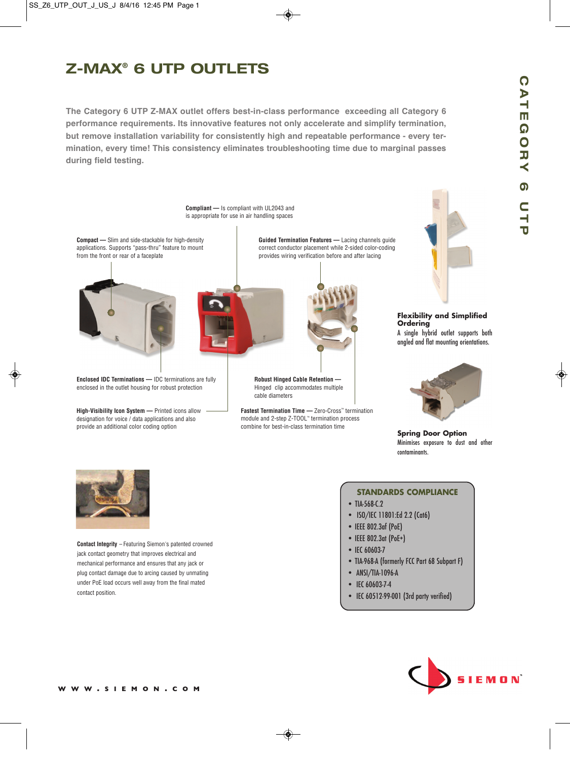# **Z-MAX® 6 UTP OUTLETS**

**The Category 6 UTP Z-MAX outlet offers best-in-class performance exceeding all Category 6 performance requirements. Its innovative features not only accelerate and simplify termination, but remove installation variability for consistently high and repeatable performance - every termination, every time! This consistency eliminates troubleshooting time due to marginal passes during field testing.**





**Contact Integrity** – Featuring Siemon's patented crowned jack contact geometry that improves electrical and mechanical performance and ensures that any jack or plug contact damage due to arcing caused by unmating under PoE load occurs well away from the final mated contact position.

### **STANDARDS COMPLIANCE**

- TIA-568-C.2
- ISO/IEC 11801:Ed 2.2 (Cat6)
- IEEE 802.3af (PoE)
- IEEE 802.3at (PoE+)
- IEC 60603-7
- TIA-968-A (formerly FCC Part 68 Subpart F)
- ANSI/TIA-1096-A
- IEC 60603-7-4
- IEC 60512-99-001 (3rd party verified)